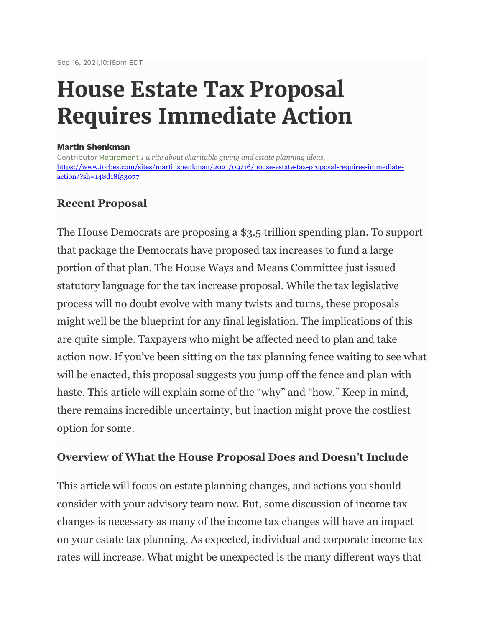# **House Estate Tax Proposal Requires Immediate Action**

#### **[Martin Shenkman](https://www.forbes.com/sites/martinshenkman/)**

Contributor [Retirement](https://www.forbes.com/retirement) *I write about charitable giving and estate planning ideas.* [https://www.forbes.com/sites/martinshenkman/2021/09/16/house-estate-tax-proposal-requires-immediate](https://www.forbes.com/sites/martinshenkman/2021/09/16/house-estate-tax-proposal-requires-immediate-action/?sh=148d18f53077)[action/?sh=148d18f53077](https://www.forbes.com/sites/martinshenkman/2021/09/16/house-estate-tax-proposal-requires-immediate-action/?sh=148d18f53077)

#### **Recent Proposal**

The House Democrats are proposing a \$3.5 trillion spending plan. To support that package the Democrats have proposed tax increases to fund a large portion of that plan. The House Ways and Means Committee just issued statutory language for the tax increase proposal. While the tax legislative process will no doubt evolve with many twists and turns, these proposals might well be the blueprint for any final legislation. The implications of this are quite simple. Taxpayers who might be affected need to plan and take action now. If you've been sitting on the tax planning fence waiting to see what will be enacted, this proposal suggests you jump off the fence and plan with haste. This article will explain some of the "why" and "how." Keep in mind, there remains incredible uncertainty, but inaction might prove the costliest option for some.

#### **Overview of What the House Proposal Does and Doesn't Include**

This article will focus on estate planning changes, and actions you should consider with your advisory team now. But, some discussion of income tax changes is necessary as many of the income tax changes will have an impact on your estate tax planning. As expected, individual and corporate income tax rates will increase. What might be unexpected is the many different ways that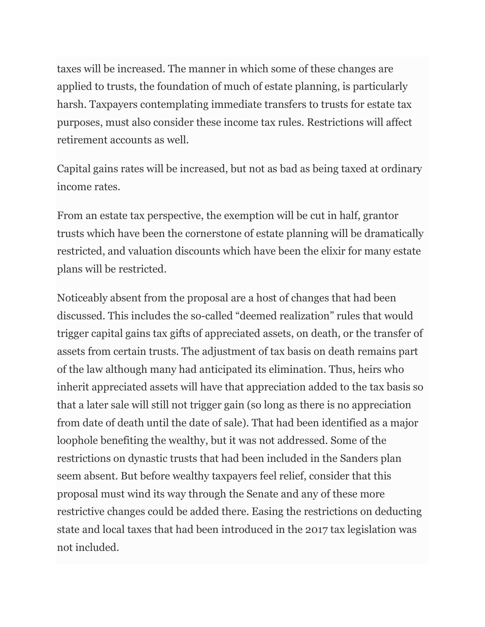taxes will be increased. The manner in which some of these changes are applied to trusts, the foundation of much of estate planning, is particularly harsh. Taxpayers contemplating immediate transfers to trusts for estate tax purposes, must also consider these income tax rules. Restrictions will affect retirement accounts as well.

Capital gains rates will be increased, but not as bad as being taxed at ordinary income rates.

From an estate tax perspective, the exemption will be cut in half, grantor trusts which have been the cornerstone of estate planning will be dramatically restricted, and valuation discounts which have been the elixir for many estate plans will be restricted.

Noticeably absent from the proposal are a host of changes that had been discussed. This includes the so-called "deemed realization" rules that would trigger capital gains tax gifts of appreciated assets, on death, or the transfer of assets from certain trusts. The adjustment of tax basis on death remains part of the law although many had anticipated its elimination. Thus, heirs who inherit appreciated assets will have that appreciation added to the tax basis so that a later sale will still not trigger gain (so long as there is no appreciation from date of death until the date of sale). That had been identified as a major loophole benefiting the wealthy, but it was not addressed. Some of the restrictions on dynastic trusts that had been included in the Sanders plan seem absent. But before wealthy taxpayers feel relief, consider that this proposal must wind its way through the Senate and any of these more restrictive changes could be added there. Easing the restrictions on deducting state and local taxes that had been introduced in the 2017 tax legislation was not included.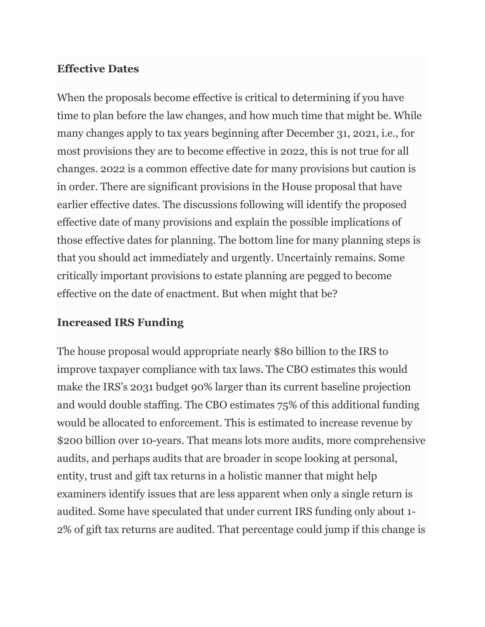#### **Effective Dates**

When the proposals become effective is critical to determining if you have time to plan before the law changes, and how much time that might be. While many changes apply to tax years beginning after December 31, 2021, i.e., for most provisions they are to become effective in 2022, this is not true for all changes. 2022 is a common effective date for many provisions but caution is in order. There are significant provisions in the House proposal that have earlier effective dates. The discussions following will identify the proposed effective date of many provisions and explain the possible implications of those effective dates for planning. The bottom line for many planning steps is that you should act immediately and urgently. Uncertainly remains. Some critically important provisions to estate planning are pegged to become effective on the date of enactment. But when might that be?

#### **Increased IRS Funding**

The house proposal would appropriate nearly \$80 billion to the IRS to improve taxpayer compliance with tax laws. The CBO estimates this would make the IRS's 2031 budget 90% larger than its current baseline projection and would double staffing. The CBO estimates 75% of this additional funding would be allocated to enforcement. This is estimated to increase revenue by \$200 billion over 10-years. That means lots more audits, more comprehensive audits, and perhaps audits that are broader in scope looking at personal, entity, trust and gift tax returns in a holistic manner that might help examiners identify issues that are less apparent when only a single return is audited. Some have speculated that under current IRS funding only about 1- 2% of gift tax returns are audited. That percentage could jump if this change is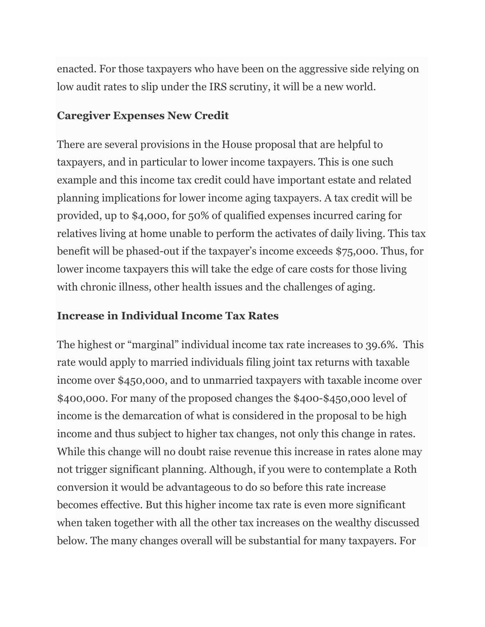enacted. For those taxpayers who have been on the aggressive side relying on low audit rates to slip under the IRS scrutiny, it will be a new world.

#### **Caregiver Expenses New Credit**

There are several provisions in the House proposal that are helpful to taxpayers, and in particular to lower income taxpayers. This is one such example and this income tax credit could have important estate and related planning implications for lower income aging taxpayers. A tax credit will be provided, up to \$4,000, for 50% of qualified expenses incurred caring for relatives living at home unable to perform the activates of daily living. This tax benefit will be phased-out if the taxpayer's income exceeds \$75,000. Thus, for lower income taxpayers this will take the edge of care costs for those living with chronic illness, other health issues and the challenges of aging.

#### **Increase in Individual Income Tax Rates**

The highest or "marginal" individual income tax rate increases to 39.6%. This rate would apply to married individuals filing joint tax returns with taxable income over \$450,000, and to unmarried taxpayers with taxable income over \$400,000. For many of the proposed changes the \$400-\$450,000 level of income is the demarcation of what is considered in the proposal to be high income and thus subject to higher tax changes, not only this change in rates. While this change will no doubt raise revenue this increase in rates alone may not trigger significant planning. Although, if you were to contemplate a Roth conversion it would be advantageous to do so before this rate increase becomes effective. But this higher income tax rate is even more significant when taken together with all the other tax increases on the wealthy discussed below. The many changes overall will be substantial for many taxpayers. For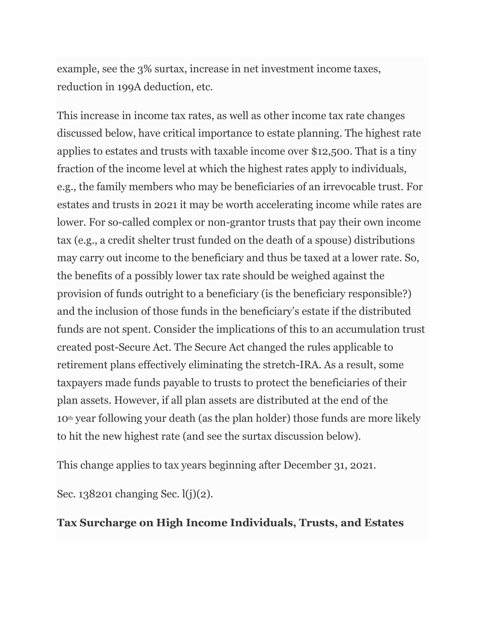example, see the 3% surtax, increase in net investment income taxes, reduction in 199A deduction, etc.

This increase in income tax rates, as well as other income tax rate changes discussed below, have critical importance to estate planning. The highest rate applies to estates and trusts with taxable income over \$12,500. That is a tiny fraction of the income level at which the highest rates apply to individuals, e.g., the family members who may be beneficiaries of an irrevocable trust. For estates and trusts in 2021 it may be worth accelerating income while rates are lower. For so-called complex or non-grantor trusts that pay their own income tax (e.g., a credit shelter trust funded on the death of a spouse) distributions may carry out income to the beneficiary and thus be taxed at a lower rate. So, the benefits of a possibly lower tax rate should be weighed against the provision of funds outright to a beneficiary (is the beneficiary responsible?) and the inclusion of those funds in the beneficiary's estate if the distributed funds are not spent. Consider the implications of this to an accumulation trust created post-Secure Act. The Secure Act changed the rules applicable to retirement plans effectively eliminating the stretch-IRA. As a result, some taxpayers made funds payable to trusts to protect the beneficiaries of their plan assets. However, if all plan assets are distributed at the end of the 10th year following your death (as the plan holder) those funds are more likely to hit the new highest rate (and see the surtax discussion below).

This change applies to tax years beginning after December 31, 2021.

Sec. 138201 changing Sec. l(j)(2).

#### **Tax Surcharge on High Income Individuals, Trusts, and Estates**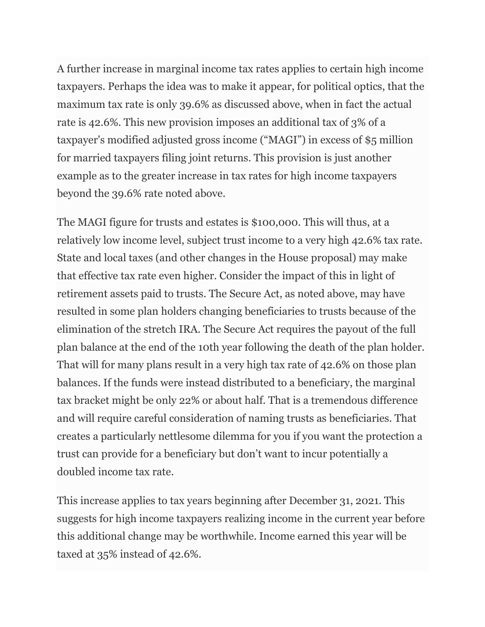A further increase in marginal income tax rates applies to certain high income taxpayers. Perhaps the idea was to make it appear, for political optics, that the maximum tax rate is only 39.6% as discussed above, when in fact the actual rate is 42.6%. This new provision imposes an additional tax of 3% of a taxpayer's modified adjusted gross income ("MAGI") in excess of \$5 million for married taxpayers filing joint returns. This provision is just another example as to the greater increase in tax rates for high income taxpayers beyond the 39.6% rate noted above.

The MAGI figure for trusts and estates is \$100,000. This will thus, at a relatively low income level, subject trust income to a very high 42.6% tax rate. State and local taxes (and other changes in the House proposal) may make that effective tax rate even higher. Consider the impact of this in light of retirement assets paid to trusts. The Secure Act, as noted above, may have resulted in some plan holders changing beneficiaries to trusts because of the elimination of the stretch IRA. The Secure Act requires the payout of the full plan balance at the end of the 10th year following the death of the plan holder. That will for many plans result in a very high tax rate of 42.6% on those plan balances. If the funds were instead distributed to a beneficiary, the marginal tax bracket might be only 22% or about half. That is a tremendous difference and will require careful consideration of naming trusts as beneficiaries. That creates a particularly nettlesome dilemma for you if you want the protection a trust can provide for a beneficiary but don't want to incur potentially a doubled income tax rate.

This increase applies to tax years beginning after December 31, 2021. This suggests for high income taxpayers realizing income in the current year before this additional change may be worthwhile. Income earned this year will be taxed at 35% instead of 42.6%.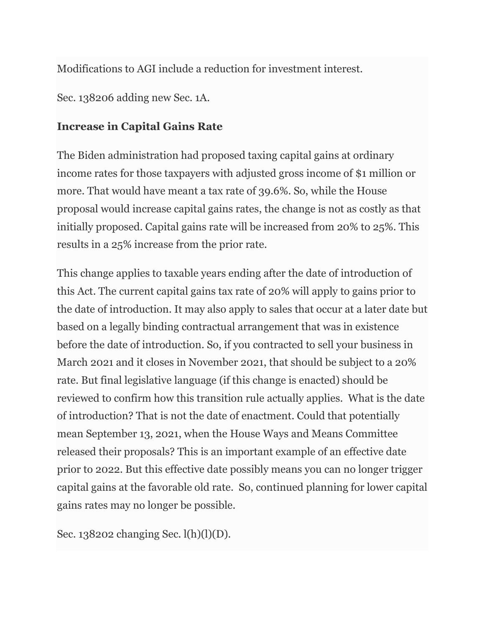Modifications to AGI include a reduction for investment interest.

Sec. 138206 adding new Sec. 1A.

## **Increase in Capital Gains Rate**

The Biden administration had proposed taxing capital gains at ordinary income rates for those taxpayers with adjusted gross income of \$1 million or more. That would have meant a tax rate of 39.6%. So, while the House proposal would increase capital gains rates, the change is not as costly as that initially proposed. Capital gains rate will be increased from 20% to 25%. This results in a 25% increase from the prior rate.

This change applies to taxable years ending after the date of introduction of this Act. The current capital gains tax rate of 20% will apply to gains prior to the date of introduction. It may also apply to sales that occur at a later date but based on a legally binding contractual arrangement that was in existence before the date of introduction. So, if you contracted to sell your business in March 2021 and it closes in November 2021, that should be subject to a 20% rate. But final legislative language (if this change is enacted) should be reviewed to confirm how this transition rule actually applies. What is the date of introduction? That is not the date of enactment. Could that potentially mean September 13, 2021, when the House Ways and Means Committee released their proposals? This is an important example of an effective date prior to 2022. But this effective date possibly means you can no longer trigger capital gains at the favorable old rate. So, continued planning for lower capital gains rates may no longer be possible.

Sec. 138202 changing Sec. l(h)(l)(D).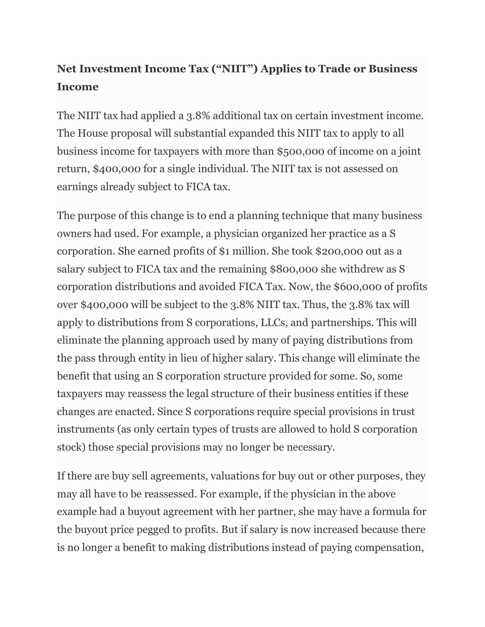# **Net Investment Income Tax ("NIIT") Applies to Trade or Business Income**

The NIIT tax had applied a 3.8% additional tax on certain investment income. The House proposal will substantial expanded this NIIT tax to apply to all business income for taxpayers with more than \$500,000 of income on a joint return, \$400,000 for a single individual. The NIIT tax is not assessed on earnings already subject to FICA tax.

The purpose of this change is to end a planning technique that many business owners had used. For example, a physician organized her practice as a S corporation. She earned profits of \$1 million. She took \$200,000 out as a salary subject to FICA tax and the remaining \$800,000 she withdrew as S corporation distributions and avoided FICA Tax. Now, the \$600,000 of profits over \$400,000 will be subject to the 3.8% NIIT tax. Thus, the 3.8% tax will apply to distributions from S corporations, LLCs, and partnerships. This will eliminate the planning approach used by many of paying distributions from the pass through entity in lieu of higher salary. This change will eliminate the benefit that using an S corporation structure provided for some. So, some taxpayers may reassess the legal structure of their business entities if these changes are enacted. Since S corporations require special provisions in trust instruments (as only certain types of trusts are allowed to hold S corporation stock) those special provisions may no longer be necessary.

If there are buy sell agreements, valuations for buy out or other purposes, they may all have to be reassessed. For example, if the physician in the above example had a buyout agreement with her partner, she may have a formula for the buyout price pegged to profits. But if salary is now increased because there is no longer a benefit to making distributions instead of paying compensation,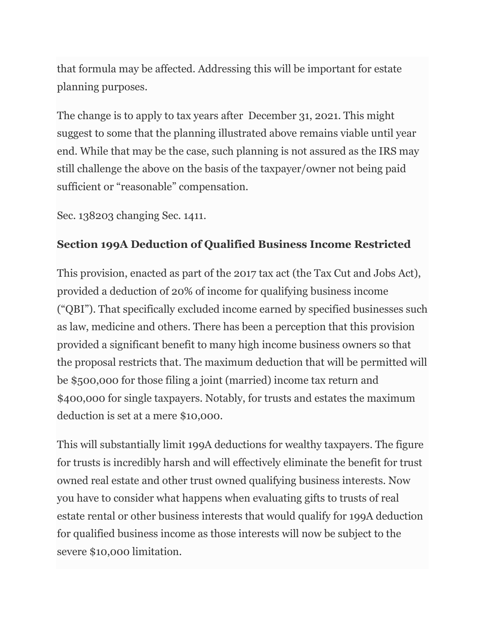that formula may be affected. Addressing this will be important for estate planning purposes.

The change is to apply to tax years after December 31, 2021. This might suggest to some that the planning illustrated above remains viable until year end. While that may be the case, such planning is not assured as the IRS may still challenge the above on the basis of the taxpayer/owner not being paid sufficient or "reasonable" compensation.

Sec. 138203 changing Sec. 1411.

## **Section 199A Deduction of Qualified Business Income Restricted**

This provision, enacted as part of the 2017 tax act (the Tax Cut and Jobs Act), provided a deduction of 20% of income for qualifying business income ("QBI"). That specifically excluded income earned by specified businesses such as law, medicine and others. There has been a perception that this provision provided a significant benefit to many high income business owners so that the proposal restricts that. The maximum deduction that will be permitted will be \$500,000 for those filing a joint (married) income tax return and \$400,000 for single taxpayers. Notably, for trusts and estates the maximum deduction is set at a mere \$10,000.

This will substantially limit 199A deductions for wealthy taxpayers. The figure for trusts is incredibly harsh and will effectively eliminate the benefit for trust owned real estate and other trust owned qualifying business interests. Now you have to consider what happens when evaluating gifts to trusts of real estate rental or other business interests that would qualify for 199A deduction for qualified business income as those interests will now be subject to the severe \$10,000 limitation.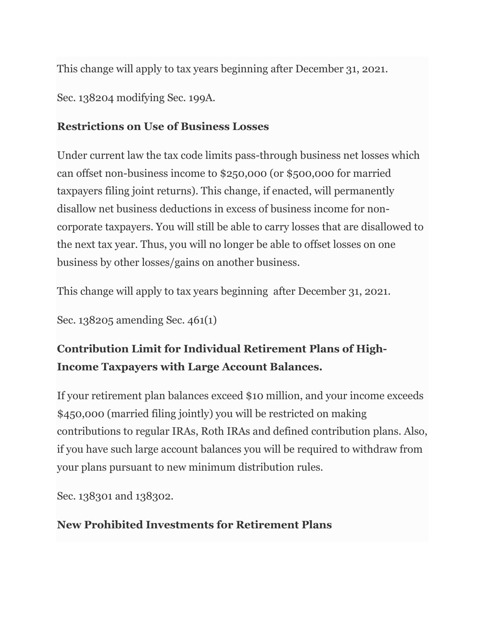This change will apply to tax years beginning after December 31, 2021.

Sec. 138204 modifying Sec. 199A.

#### **Restrictions on Use of Business Losses**

Under current law the tax code limits pass-through business net losses which can offset non-business income to \$250,000 (or \$500,000 for married taxpayers filing joint returns). This change, if enacted, will permanently disallow net business deductions in excess of business income for noncorporate taxpayers. You will still be able to carry losses that are disallowed to the next tax year. Thus, you will no longer be able to offset losses on one business by other losses/gains on another business.

This change will apply to tax years beginning after December 31, 2021.

Sec. 138205 amending Sec. 461(1)

# **Contribution Limit for Individual Retirement Plans of High-Income Taxpayers with Large Account Balances.**

If your retirement plan balances exceed \$10 million, and your income exceeds \$450,000 (married filing jointly) you will be restricted on making contributions to regular IRAs, Roth IRAs and defined contribution plans. Also, if you have such large account balances you will be required to withdraw from your plans pursuant to new minimum distribution rules.

Sec. 138301 and 138302.

#### **New Prohibited Investments for Retirement Plans**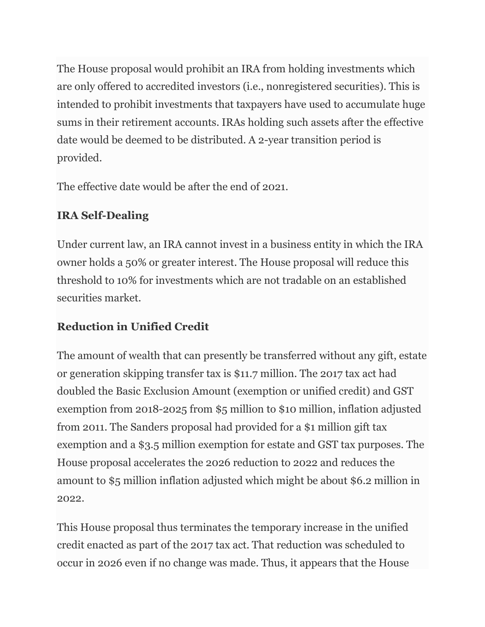The House proposal would prohibit an IRA from holding investments which are only offered to accredited investors (i.e., nonregistered securities). This is intended to prohibit investments that taxpayers have used to accumulate huge sums in their retirement accounts. IRAs holding such assets after the effective date would be deemed to be distributed. A 2-year transition period is provided.

The effective date would be after the end of 2021.

# **IRA Self-Dealing**

Under current law, an IRA cannot invest in a business entity in which the IRA owner holds a 50% or greater interest. The House proposal will reduce this threshold to 10% for investments which are not tradable on an established securities market.

# **Reduction in Unified Credit**

The amount of wealth that can presently be transferred without any gift, estate or generation skipping transfer tax is \$11.7 million. The 2017 tax act had doubled the Basic Exclusion Amount (exemption or unified credit) and GST exemption from 2018-2025 from \$5 million to \$10 million, inflation adjusted from 2011. The Sanders proposal had provided for a \$1 million gift tax exemption and a \$3.5 million exemption for estate and GST tax purposes. The House proposal accelerates the 2026 reduction to 2022 and reduces the amount to \$5 million inflation adjusted which might be about \$6.2 million in 2022.

This House proposal thus terminates the temporary increase in the unified credit enacted as part of the 2017 tax act. That reduction was scheduled to occur in 2026 even if no change was made. Thus, it appears that the House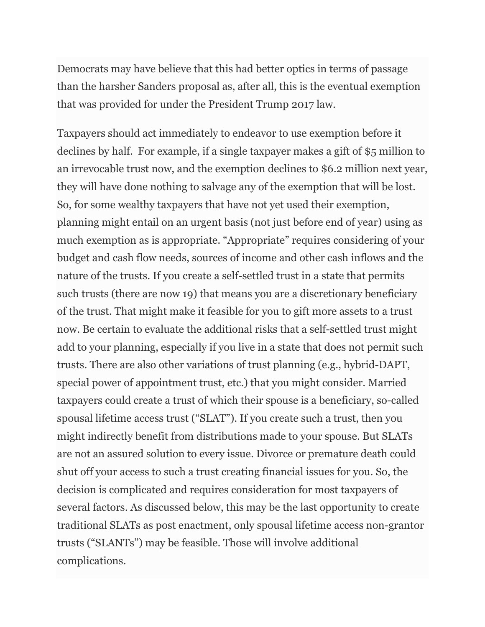Democrats may have believe that this had better optics in terms of passage than the harsher Sanders proposal as, after all, this is the eventual exemption that was provided for under the President Trump 2017 law.

Taxpayers should act immediately to endeavor to use exemption before it declines by half. For example, if a single taxpayer makes a gift of \$5 million to an irrevocable trust now, and the exemption declines to \$6.2 million next year, they will have done nothing to salvage any of the exemption that will be lost. So, for some wealthy taxpayers that have not yet used their exemption, planning might entail on an urgent basis (not just before end of year) using as much exemption as is appropriate. "Appropriate" requires considering of your budget and cash flow needs, sources of income and other cash inflows and the nature of the trusts. If you create a self-settled trust in a state that permits such trusts (there are now 19) that means you are a discretionary beneficiary of the trust. That might make it feasible for you to gift more assets to a trust now. Be certain to evaluate the additional risks that a self-settled trust might add to your planning, especially if you live in a state that does not permit such trusts. There are also other variations of trust planning (e.g., hybrid-DAPT, special power of appointment trust, etc.) that you might consider. Married taxpayers could create a trust of which their spouse is a beneficiary, so-called spousal lifetime access trust ("SLAT"). If you create such a trust, then you might indirectly benefit from distributions made to your spouse. But SLATs are not an assured solution to every issue. Divorce or premature death could shut off your access to such a trust creating financial issues for you. So, the decision is complicated and requires consideration for most taxpayers of several factors. As discussed below, this may be the last opportunity to create traditional SLATs as post enactment, only spousal lifetime access non-grantor trusts ("SLANTs") may be feasible. Those will involve additional complications.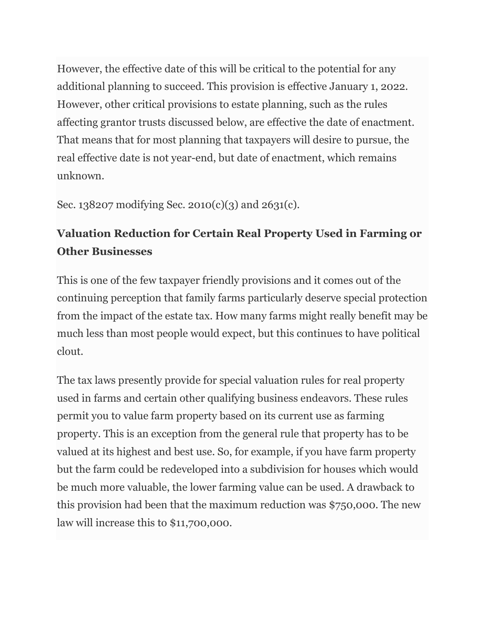However, the effective date of this will be critical to the potential for any additional planning to succeed. This provision is effective January 1, 2022. However, other critical provisions to estate planning, such as the rules affecting grantor trusts discussed below, are effective the date of enactment. That means that for most planning that taxpayers will desire to pursue, the real effective date is not year-end, but date of enactment, which remains unknown.

Sec. 138207 modifying Sec. 2010(c)(3) and 2631(c).

# **Valuation Reduction for Certain Real Property Used in Farming or Other Businesses**

This is one of the few taxpayer friendly provisions and it comes out of the continuing perception that family farms particularly deserve special protection from the impact of the estate tax. How many farms might really benefit may be much less than most people would expect, but this continues to have political clout.

The tax laws presently provide for special valuation rules for real property used in farms and certain other qualifying business endeavors. These rules permit you to value farm property based on its current use as farming property. This is an exception from the general rule that property has to be valued at its highest and best use. So, for example, if you have farm property but the farm could be redeveloped into a subdivision for houses which would be much more valuable, the lower farming value can be used. A drawback to this provision had been that the maximum reduction was \$750,000. The new law will increase this to \$11,700,000.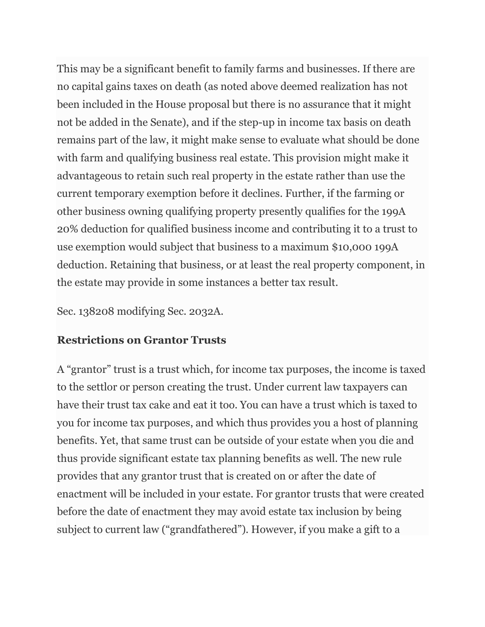This may be a significant benefit to family farms and businesses. If there are no capital gains taxes on death (as noted above deemed realization has not been included in the House proposal but there is no assurance that it might not be added in the Senate), and if the step-up in income tax basis on death remains part of the law, it might make sense to evaluate what should be done with farm and qualifying business real estate. This provision might make it advantageous to retain such real property in the estate rather than use the current temporary exemption before it declines. Further, if the farming or other business owning qualifying property presently qualifies for the 199A 20% deduction for qualified business income and contributing it to a trust to use exemption would subject that business to a maximum \$10,000 199A deduction. Retaining that business, or at least the real property component, in the estate may provide in some instances a better tax result.

Sec. 138208 modifying Sec. 2032A.

## **Restrictions on Grantor Trusts**

A "grantor" trust is a trust which, for income tax purposes, the income is taxed to the settlor or person creating the trust. Under current law taxpayers can have their trust tax cake and eat it too. You can have a trust which is taxed to you for income tax purposes, and which thus provides you a host of planning benefits. Yet, that same trust can be outside of your estate when you die and thus provide significant estate tax planning benefits as well. The new rule provides that any grantor trust that is created on or after the date of enactment will be included in your estate. For grantor trusts that were created before the date of enactment they may avoid estate tax inclusion by being subject to current law ("grandfathered"). However, if you make a gift to a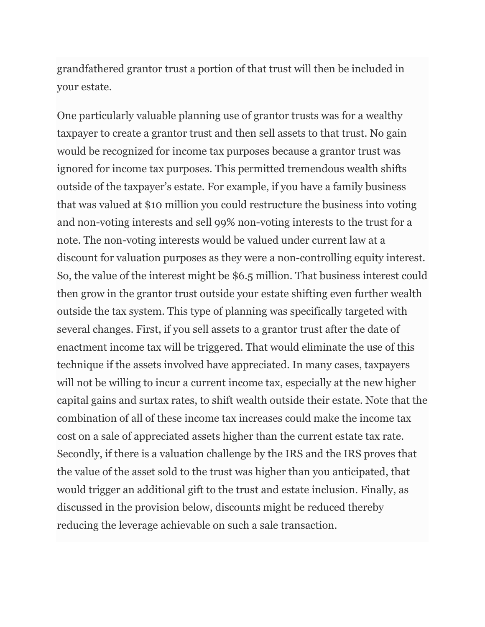grandfathered grantor trust a portion of that trust will then be included in your estate.

One particularly valuable planning use of grantor trusts was for a wealthy taxpayer to create a grantor trust and then sell assets to that trust. No gain would be recognized for income tax purposes because a grantor trust was ignored for income tax purposes. This permitted tremendous wealth shifts outside of the taxpayer's estate. For example, if you have a family business that was valued at \$10 million you could restructure the business into voting and non-voting interests and sell 99% non-voting interests to the trust for a note. The non-voting interests would be valued under current law at a discount for valuation purposes as they were a non-controlling equity interest. So, the value of the interest might be \$6.5 million. That business interest could then grow in the grantor trust outside your estate shifting even further wealth outside the tax system. This type of planning was specifically targeted with several changes. First, if you sell assets to a grantor trust after the date of enactment income tax will be triggered. That would eliminate the use of this technique if the assets involved have appreciated. In many cases, taxpayers will not be willing to incur a current income tax, especially at the new higher capital gains and surtax rates, to shift wealth outside their estate. Note that the combination of all of these income tax increases could make the income tax cost on a sale of appreciated assets higher than the current estate tax rate. Secondly, if there is a valuation challenge by the IRS and the IRS proves that the value of the asset sold to the trust was higher than you anticipated, that would trigger an additional gift to the trust and estate inclusion. Finally, as discussed in the provision below, discounts might be reduced thereby reducing the leverage achievable on such a sale transaction.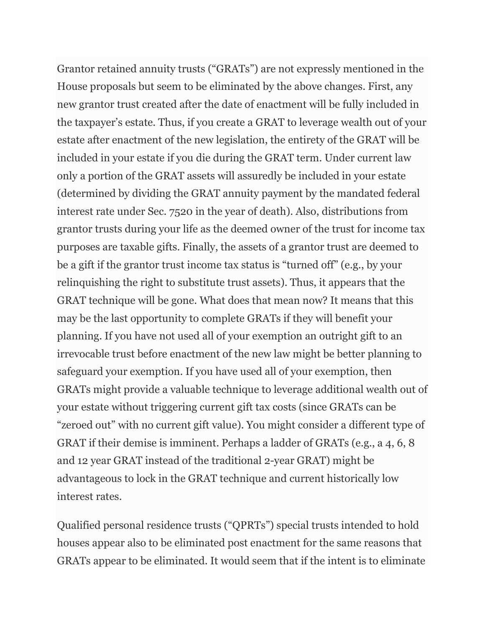Grantor retained annuity trusts ("GRATs") are not expressly mentioned in the House proposals but seem to be eliminated by the above changes. First, any new grantor trust created after the date of enactment will be fully included in the taxpayer's estate. Thus, if you create a GRAT to leverage wealth out of your estate after enactment of the new legislation, the entirety of the GRAT will be included in your estate if you die during the GRAT term. Under current law only a portion of the GRAT assets will assuredly be included in your estate (determined by dividing the GRAT annuity payment by the mandated federal interest rate under Sec. 7520 in the year of death). Also, distributions from grantor trusts during your life as the deemed owner of the trust for income tax purposes are taxable gifts. Finally, the assets of a grantor trust are deemed to be a gift if the grantor trust income tax status is "turned off" (e.g., by your relinquishing the right to substitute trust assets). Thus, it appears that the GRAT technique will be gone. What does that mean now? It means that this may be the last opportunity to complete GRATs if they will benefit your planning. If you have not used all of your exemption an outright gift to an irrevocable trust before enactment of the new law might be better planning to safeguard your exemption. If you have used all of your exemption, then GRATs might provide a valuable technique to leverage additional wealth out of your estate without triggering current gift tax costs (since GRATs can be "zeroed out" with no current gift value). You might consider a different type of GRAT if their demise is imminent. Perhaps a ladder of GRATs (e.g., a 4, 6, 8 and 12 year GRAT instead of the traditional 2-year GRAT) might be advantageous to lock in the GRAT technique and current historically low interest rates.

Qualified personal residence trusts ("QPRTs") special trusts intended to hold houses appear also to be eliminated post enactment for the same reasons that GRATs appear to be eliminated. It would seem that if the intent is to eliminate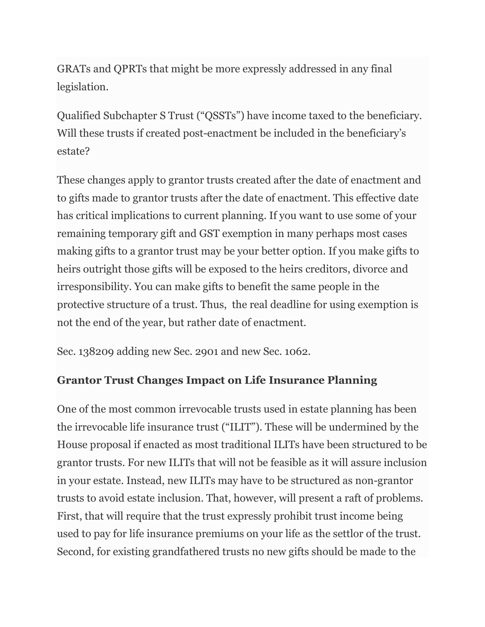GRATs and QPRTs that might be more expressly addressed in any final legislation.

Qualified Subchapter S Trust ("QSSTs") have income taxed to the beneficiary. Will these trusts if created post-enactment be included in the beneficiary's estate?

These changes apply to grantor trusts created after the date of enactment and to gifts made to grantor trusts after the date of enactment. This effective date has critical implications to current planning. If you want to use some of your remaining temporary gift and GST exemption in many perhaps most cases making gifts to a grantor trust may be your better option. If you make gifts to heirs outright those gifts will be exposed to the heirs creditors, divorce and irresponsibility. You can make gifts to benefit the same people in the protective structure of a trust. Thus, the real deadline for using exemption is not the end of the year, but rather date of enactment.

Sec. 138209 adding new Sec. 2901 and new Sec. 1062.

#### **Grantor Trust Changes Impact on Life Insurance Planning**

One of the most common irrevocable trusts used in estate planning has been the irrevocable life insurance trust ("ILIT"). These will be undermined by the House proposal if enacted as most traditional ILITs have been structured to be grantor trusts. For new ILITs that will not be feasible as it will assure inclusion in your estate. Instead, new ILITs may have to be structured as non-grantor trusts to avoid estate inclusion. That, however, will present a raft of problems. First, that will require that the trust expressly prohibit trust income being used to pay for life insurance premiums on your life as the settlor of the trust. Second, for existing grandfathered trusts no new gifts should be made to the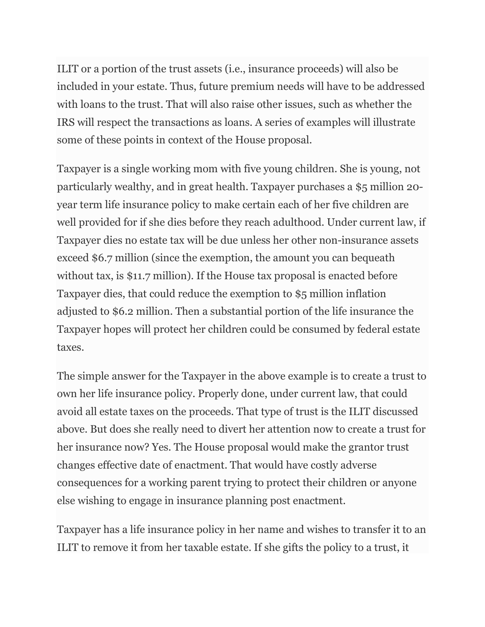ILIT or a portion of the trust assets (i.e., insurance proceeds) will also be included in your estate. Thus, future premium needs will have to be addressed with loans to the trust. That will also raise other issues, such as whether the IRS will respect the transactions as loans. A series of examples will illustrate some of these points in context of the House proposal.

Taxpayer is a single working mom with five young children. She is young, not particularly wealthy, and in great health. Taxpayer purchases a \$5 million 20 year term life insurance policy to make certain each of her five children are well provided for if she dies before they reach adulthood. Under current law, if Taxpayer dies no estate tax will be due unless her other non-insurance assets exceed \$6.7 million (since the exemption, the amount you can bequeath without tax, is \$11.7 million). If the House tax proposal is enacted before Taxpayer dies, that could reduce the exemption to \$5 million inflation adjusted to \$6.2 million. Then a substantial portion of the life insurance the Taxpayer hopes will protect her children could be consumed by federal estate taxes.

The simple answer for the Taxpayer in the above example is to create a trust to own her life insurance policy. Properly done, under current law, that could avoid all estate taxes on the proceeds. That type of trust is the ILIT discussed above. But does she really need to divert her attention now to create a trust for her insurance now? Yes. The House proposal would make the grantor trust changes effective date of enactment. That would have costly adverse consequences for a working parent trying to protect their children or anyone else wishing to engage in insurance planning post enactment.

Taxpayer has a life insurance policy in her name and wishes to transfer it to an ILIT to remove it from her taxable estate. If she gifts the policy to a trust, it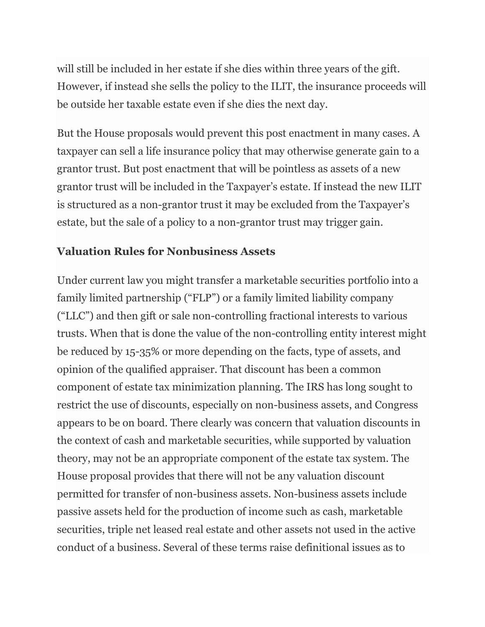will still be included in her estate if she dies within three years of the gift. However, if instead she sells the policy to the ILIT, the insurance proceeds will be outside her taxable estate even if she dies the next day.

But the House proposals would prevent this post enactment in many cases. A taxpayer can sell a life insurance policy that may otherwise generate gain to a grantor trust. But post enactment that will be pointless as assets of a new grantor trust will be included in the Taxpayer's estate. If instead the new ILIT is structured as a non-grantor trust it may be excluded from the Taxpayer's estate, but the sale of a policy to a non-grantor trust may trigger gain.

#### **Valuation Rules for Nonbusiness Assets**

Under current law you might transfer a marketable securities portfolio into a family limited partnership ("FLP") or a family limited liability company ("LLC") and then gift or sale non-controlling fractional interests to various trusts. When that is done the value of the non-controlling entity interest might be reduced by 15-35% or more depending on the facts, type of assets, and opinion of the qualified appraiser. That discount has been a common component of estate tax minimization planning. The IRS has long sought to restrict the use of discounts, especially on non-business assets, and Congress appears to be on board. There clearly was concern that valuation discounts in the context of cash and marketable securities, while supported by valuation theory, may not be an appropriate component of the estate tax system. The House proposal provides that there will not be any valuation discount permitted for transfer of non-business assets. Non-business assets include passive assets held for the production of income such as cash, marketable securities, triple net leased real estate and other assets not used in the active conduct of a business. Several of these terms raise definitional issues as to